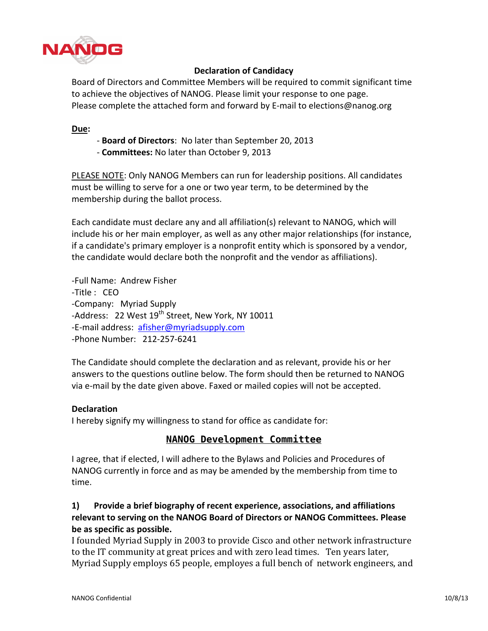

### **Declaration of Candidacy**

Board of Directors and Committee Members will be required to commit significant time to achieve the objectives of NANOG. Please limit your response to one page. Please complete the attached form and forward by E-mail to elections@nanog.org

### **Due:**

- Board of Directors: No later than September 20, 2013
- **Committees: No later than October 9, 2013**

PLEASE NOTE: Only NANOG Members can run for leadership positions. All candidates must be willing to serve for a one or two year term, to be determined by the membership during the ballot process.

Each candidate must declare any and all affiliation(s) relevant to NANOG, which will include his or her main employer, as well as any other major relationships (for instance, if a candidate's primary employer is a nonprofit entity which is sponsored by a vendor, the candidate would declare both the nonprofit and the vendor as affiliations).

-Full Name: Andrew Fisher -Title : CEO -Company: Myriad Supply -Address: 22 West 19<sup>th</sup> Street, New York, NY 10011 -E-mail address: afisher@myriadsupply.com -Phone Number: 212-257-6241

The Candidate should complete the declaration and as relevant, provide his or her answers to the questions outline below. The form should then be returned to NANOG via e-mail by the date given above. Faxed or mailed copies will not be accepted.

#### **Declaration**

I hereby signify my willingness to stand for office as candidate for:

# **NANOG Development Committee**

I agree, that if elected, I will adhere to the Bylaws and Policies and Procedures of NANOG currently in force and as may be amended by the membership from time to time.

## 1) Provide a brief biography of recent experience, associations, and affiliations relevant to serving on the NANOG Board of Directors or NANOG Committees. Please **be+as+specific+as+possible.**

I founded Myriad Supply in 2003 to provide Cisco and other network infrastructure to the IT community at great prices and with zero lead times. Ten years later, Myriad Supply employs 65 people, employes a full bench of network engineers, and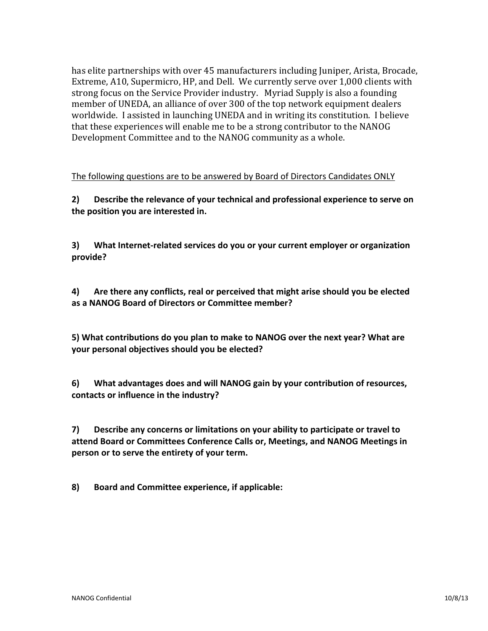has elite partnerships with over 45 manufacturers including Juniper, Arista, Brocade, Extreme, A10, Supermicro, HP, and Dell. We currently serve over 1,000 clients with strong focus on the Service Provider industry. Myriad Supply is also a founding member of UNEDA, an alliance of over 300 of the top network equipment dealers worldwide. I assisted in launching UNEDA and in writing its constitution. I believe that these experiences will enable me to be a strong contributor to the NANOG Development Committee and to the NANOG community as a whole.

The following questions are to be answered by Board of Directors Candidates ONLY

**2) Describe the relevance of your technical and professional experience to serve on** the position you are interested in.

**3)** What Internet-related services do you or your current employer or organization **provide?**

**4)** Are there any conflicts, real or perceived that might arise should you be elected as a NANOG Board of Directors or Committee member?

5) What contributions do you plan to make to NANOG over the next year? What are **your+personal+objectives+should+you+be+elected?**

6) What advantages does and will NANOG gain by your contribution of resources, contacts or influence in the industry?

**7)** Describe any concerns or limitations on your ability to participate or travel to attend Board or Committees Conference Calls or, Meetings, and NANOG Meetings in person or to serve the entirety of your term.

8) Board and Committee experience, if applicable: